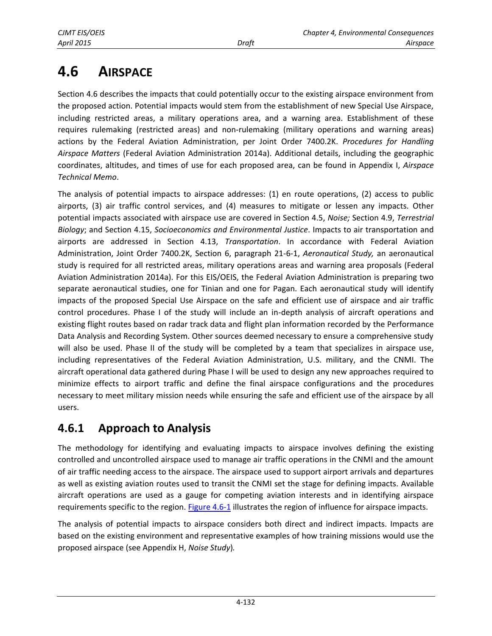# **4.6 AIRSPACE**

Section 4.6 describes the impacts that could potentially occur to the existing airspace environment from the proposed action. Potential impacts would stem from the establishment of new Special Use Airspace, including restricted areas, a military operations area, and a warning area. Establishment of these requires rulemaking (restricted areas) and non-rulemaking (military operations and warning areas) actions by the Federal Aviation Administration, per Joint Order 7400.2K. *Procedures for Handling Airspace Matters* (Federal Aviation Administration 2014a). Additional details, including the geographic coordinates, altitudes, and times of use for each proposed area, can be found in Appendix I, *Airspace Technical Memo*.

The analysis of potential impacts to airspace addresses: (1) en route operations, (2) access to public airports, (3) air traffic control services, and (4) measures to mitigate or lessen any impacts. Other potential impacts associated with airspace use are covered in Section 4.5, *Noise;* Section 4.9, *Terrestrial Biology*; and Section 4.15, *Socioeconomics and Environmental Justice*. Impacts to air transportation and airports are addressed in Section 4.13, *Transportation*. In accordance with Federal Aviation Administration, Joint Order 7400.2K, Section 6, paragraph 21-6-1, *Aeronautical Study,* an aeronautical study is required for all restricted areas, military operations areas and warning area proposals (Federal Aviation Administration 2014a). For this EIS/OEIS, the Federal Aviation Administration is preparing two separate aeronautical studies, one for Tinian and one for Pagan. Each aeronautical study will identify impacts of the proposed Special Use Airspace on the safe and efficient use of airspace and air traffic control procedures. Phase I of the study will include an in-depth analysis of aircraft operations and existing flight routes based on radar track data and flight plan information recorded by the Performance Data Analysis and Recording System. Other sources deemed necessary to ensure a comprehensive study will also be used. Phase II of the study will be completed by a team that specializes in airspace use, including representatives of the Federal Aviation Administration, U.S. military, and the CNMI. The aircraft operational data gathered during Phase I will be used to design any new approaches required to minimize effects to airport traffic and define the final airspace configurations and the procedures necessary to meet military mission needs while ensuring the safe and efficient use of the airspace by all users.

# **4.6.1 Approach to Analysis**

The methodology for identifying and evaluating impacts to airspace involves defining the existing controlled and uncontrolled airspace used to manage air traffic operations in the CNMI and the amount of air traffic needing access to the airspace. The airspace used to support airport arrivals and departures as well as existing aviation routes used to transit the CNMI set the stage for defining impacts. Available aircraft operations are used as a gauge for competing aviation interests and in identifying airspace requirements specific to the region. [Figure 4.6-1](#page-1-0) illustrates the region of influence for airspace impacts.

The analysis of potential impacts to airspace considers both direct and indirect impacts. Impacts are based on the existing environment and representative examples of how training missions would use the proposed airspace (see Appendix H, *Noise Study*)*.*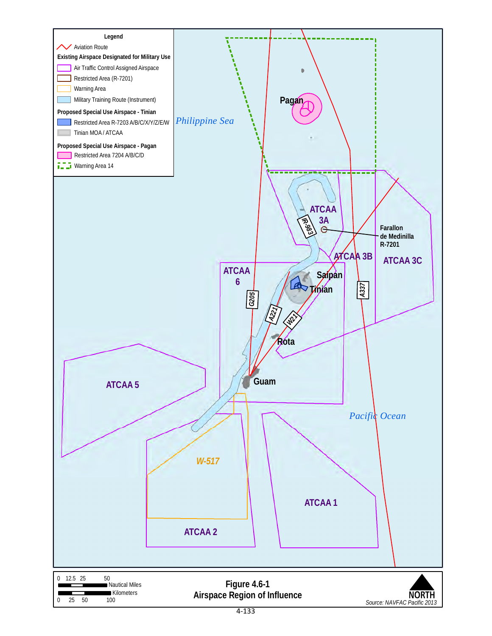<span id="page-1-0"></span>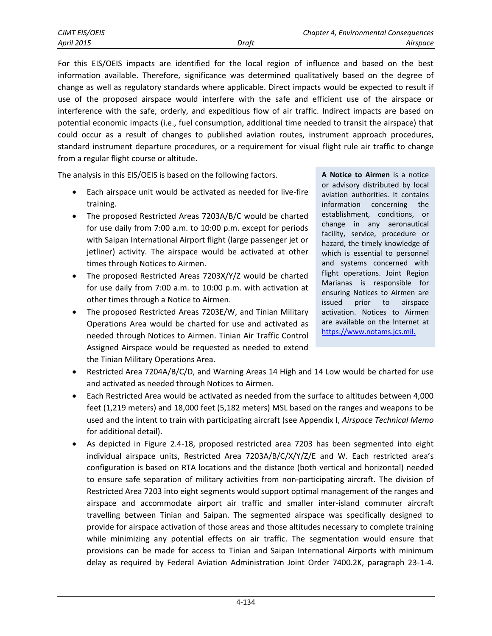For this EIS/OEIS impacts are identified for the local region of influence and based on the best information available. Therefore, significance was determined qualitatively based on the degree of change as well as regulatory standards where applicable. Direct impacts would be expected to result if use of the proposed airspace would interfere with the safe and efficient use of the airspace or interference with the safe, orderly, and expeditious flow of air traffic. Indirect impacts are based on potential economic impacts (i.e., fuel consumption, additional time needed to transit the airspace) that could occur as a result of changes to published aviation routes, instrument approach procedures, standard instrument departure procedures, or a requirement for visual flight rule air traffic to change from a regular flight course or altitude.

The analysis in this EIS/OEIS is based on the following factors.

- Each airspace unit would be activated as needed for live-fire training.
- The proposed Restricted Areas 7203A/B/C would be charted for use daily from 7:00 a.m. to 10:00 p.m. except for periods with Saipan International Airport flight (large passenger jet or jetliner) activity. The airspace would be activated at other times through Notices to Airmen.
- The proposed Restricted Areas 7203X/Y/Z would be charted for use daily from 7:00 a.m. to 10:00 p.m. with activation at other times through a Notice to Airmen.
- The proposed Restricted Areas 7203E/W, and Tinian Military Operations Area would be charted for use and activated as needed through Notices to Airmen. Tinian Air Traffic Control Assigned Airspace would be requested as needed to extend the Tinian Military Operations Area.

**A Notice to Airmen** is a notice or advisory distributed by local aviation authorities. It contains information concerning the establishment, conditions, or change in any aeronautical facility, service, procedure or hazard, the timely knowledge of which is essential to personnel and systems concerned with flight operations. Joint Region Marianas is responsible for ensuring Notices to Airmen are issued prior to airspace activation. Notices to Airmen are available on the Internet at [https://www.notams.jcs.mil.](https://www.notams.jcs.mil/)

- Restricted Area 7204A/B/C/D, and Warning Areas 14 High and 14 Low would be charted for use and activated as needed through Notices to Airmen.
- Each Restricted Area would be activated as needed from the surface to altitudes between 4,000 feet (1,219 meters) and 18,000 feet (5,182 meters) MSL based on the ranges and weapons to be used and the intent to train with participating aircraft (see Appendix I, *Airspace Technical Memo* for additional detail).
- As depicted in Figure 2.4-18, proposed restricted area 7203 has been segmented into eight individual airspace units, Restricted Area 7203A/B/C/X/Y/Z/E and W. Each restricted area's configuration is based on RTA locations and the distance (both vertical and horizontal) needed to ensure safe separation of military activities from non-participating aircraft. The division of Restricted Area 7203 into eight segments would support optimal management of the ranges and airspace and accommodate airport air traffic and smaller inter-island commuter aircraft travelling between Tinian and Saipan. The segmented airspace was specifically designed to provide for airspace activation of those areas and those altitudes necessary to complete training while minimizing any potential effects on air traffic. The segmentation would ensure that provisions can be made for access to Tinian and Saipan International Airports with minimum delay as required by Federal Aviation Administration Joint Order 7400.2K, paragraph 23-1-4.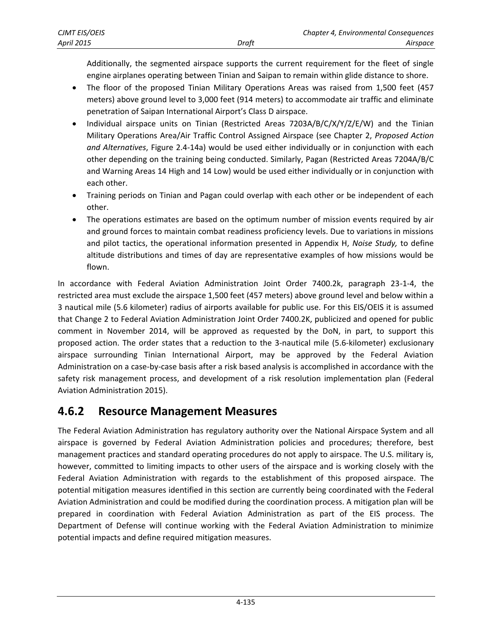Additionally, the segmented airspace supports the current requirement for the fleet of single engine airplanes operating between Tinian and Saipan to remain within glide distance to shore.

- The floor of the proposed Tinian Military Operations Areas was raised from 1,500 feet (457 meters) above ground level to 3,000 feet (914 meters) to accommodate air traffic and eliminate penetration of Saipan International Airport's Class D airspace.
- Individual airspace units on Tinian (Restricted Areas 7203A/B/C/X/Y/Z/E/W) and the Tinian Military Operations Area/Air Traffic Control Assigned Airspace (see Chapter 2, *Proposed Action and Alternatives*, Figure 2.4-14a) would be used either individually or in conjunction with each other depending on the training being conducted. Similarly, Pagan (Restricted Areas 7204A/B/C and Warning Areas 14 High and 14 Low) would be used either individually or in conjunction with each other.
- Training periods on Tinian and Pagan could overlap with each other or be independent of each other.
- The operations estimates are based on the optimum number of mission events required by air and ground forces to maintain combat readiness proficiency levels. Due to variations in missions and pilot tactics, the operational information presented in Appendix H, *Noise Study,* to define altitude distributions and times of day are representative examples of how missions would be flown.

In accordance with Federal Aviation Administration Joint Order 7400.2k, paragraph 23-1-4, the restricted area must exclude the airspace 1,500 feet (457 meters) above ground level and below within a 3 nautical mile (5.6 kilometer) radius of airports available for public use. For this EIS/OEIS it is assumed that Change 2 to Federal Aviation Administration Joint Order 7400.2K, publicized and opened for public comment in November 2014, will be approved as requested by the DoN, in part, to support this proposed action. The order states that a reduction to the 3-nautical mile (5.6-kilometer) exclusionary airspace surrounding Tinian International Airport, may be approved by the Federal Aviation Administration on a case-by-case basis after a risk based analysis is accomplished in accordance with the safety risk management process, and development of a risk resolution implementation plan (Federal Aviation Administration 2015).

# **4.6.2 Resource Management Measures**

The Federal Aviation Administration has regulatory authority over the National Airspace System and all airspace is governed by Federal Aviation Administration policies and procedures; therefore, best management practices and standard operating procedures do not apply to airspace. The U.S. military is, however, committed to limiting impacts to other users of the airspace and is working closely with the Federal Aviation Administration with regards to the establishment of this proposed airspace. The potential mitigation measures identified in this section are currently being coordinated with the Federal Aviation Administration and could be modified during the coordination process. A mitigation plan will be prepared in coordination with Federal Aviation Administration as part of the EIS process. The Department of Defense will continue working with the Federal Aviation Administration to minimize potential impacts and define required mitigation measures.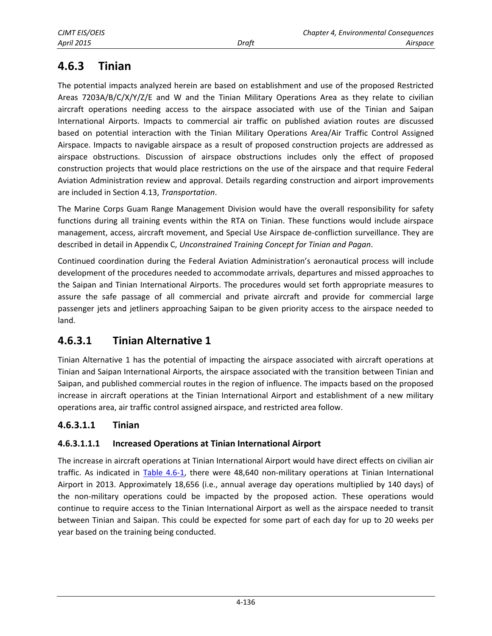# <span id="page-4-0"></span>**4.6.3 Tinian**

The potential impacts analyzed herein are based on establishment and use of the proposed Restricted Areas 7203A/B/C/X/Y/Z/E and W and the Tinian Military Operations Area as they relate to civilian aircraft operations needing access to the airspace associated with use of the Tinian and Saipan International Airports. Impacts to commercial air traffic on published aviation routes are discussed based on potential interaction with the Tinian Military Operations Area/Air Traffic Control Assigned Airspace. Impacts to navigable airspace as a result of proposed construction projects are addressed as airspace obstructions. Discussion of airspace obstructions includes only the effect of proposed construction projects that would place restrictions on the use of the airspace and that require Federal Aviation Administration review and approval. Details regarding construction and airport improvements are included in Section 4.13, *Transportation*.

The Marine Corps Guam Range Management Division would have the overall responsibility for safety functions during all training events within the RTA on Tinian. These functions would include airspace management, access, aircraft movement, and Special Use Airspace de-confliction surveillance. They are described in detail in Appendix C, *Unconstrained Training Concept for Tinian and Pagan*.

Continued coordination during the Federal Aviation Administration's aeronautical process will include development of the procedures needed to accommodate arrivals, departures and missed approaches to the Saipan and Tinian International Airports. The procedures would set forth appropriate measures to assure the safe passage of all commercial and private aircraft and provide for commercial large passenger jets and jetliners approaching Saipan to be given priority access to the airspace needed to land.

# **4.6.3.1 Tinian Alternative 1**

Tinian Alternative 1 has the potential of impacting the airspace associated with aircraft operations at Tinian and Saipan International Airports, the airspace associated with the transition between Tinian and Saipan, and published commercial routes in the region of influence. The impacts based on the proposed increase in aircraft operations at the Tinian International Airport and establishment of a new military operations area, air traffic control assigned airspace, and restricted area follow.

### **4.6.3.1.1 Tinian**

### **4.6.3.1.1.1 Increased Operations at Tinian International Airport**

The increase in aircraft operations at Tinian International Airport would have direct effects on civilian air traffic. As indicated in [Table 4.6-1,](#page-5-0) there were 48,640 non-military operations at Tinian International Airport in 2013. Approximately 18,656 (i.e., annual average day operations multiplied by 140 days) of the non-military operations could be impacted by the proposed action. These operations would continue to require access to the Tinian International Airport as well as the airspace needed to transit between Tinian and Saipan. This could be expected for some part of each day for up to 20 weeks per year based on the training being conducted.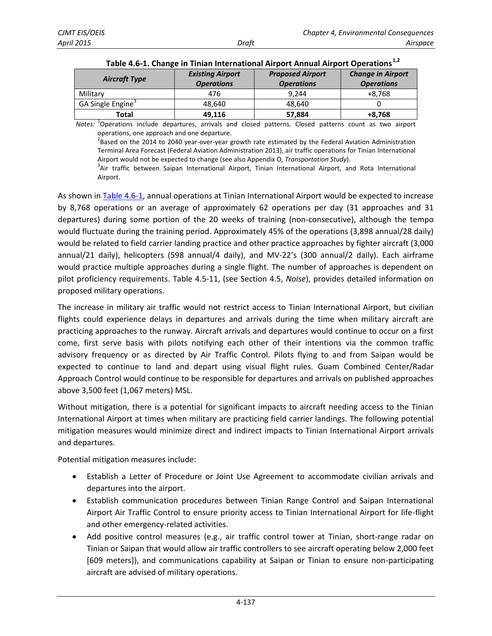| <b>Aircraft Type</b>          | <b>Existing Airport</b><br><b>Operations</b> | <b>Proposed Airport</b><br><b>Operations</b> | <b>Change in Airport</b><br><b>Operations</b> |
|-------------------------------|----------------------------------------------|----------------------------------------------|-----------------------------------------------|
| Military                      | 476                                          | 9.244                                        | $+8.768$                                      |
| GA Single Engine <sup>3</sup> | 48.640                                       | 48.640                                       |                                               |
| Total                         | 49.116                                       | 57,884                                       | $+8.768$                                      |

<span id="page-5-0"></span>

| Table 4.6-1. Change in Tinian International Airport Annual Airport Operations <sup>1,2</sup> |  |  |
|----------------------------------------------------------------------------------------------|--|--|
|----------------------------------------------------------------------------------------------|--|--|

*Notes:* <sup>1</sup> Operations include departures, arrivals and closed patterns. Closed patterns count as two airport operations, one approach and one departure.

 $^{2}$ Based on the 2014 to 2040 year-over-year growth rate estimated by the Federal Aviation Administration Terminal Area Forecast (Federal Aviation Administration 2013), air traffic operations for Tinian International Airport would not be expected to change (see also Appendix O, *Transportation Study*).

<sup>3</sup>Air traffic between Saipan International Airport, Tinian International Airport, and Rota International Airport.

As shown in [Table 4.6-1,](#page-5-0) annual operations at Tinian International Airport would be expected to increase by 8,768 operations or an average of approximately 62 operations per day (31 approaches and 31 departures) during some portion of the 20 weeks of training (non-consecutive), although the tempo would fluctuate during the training period. Approximately 45% of the operations (3,898 annual/28 daily) would be related to field carrier landing practice and other practice approaches by fighter aircraft (3,000 annual/21 daily), helicopters (598 annual/4 daily), and MV-22's (300 annual/2 daily). Each airframe would practice multiple approaches during a single flight. The number of approaches is dependent on pilot proficiency requirements. Table 4.5-11, (see Section 4.5, *Noise*), provides detailed information on proposed military operations.

The increase in military air traffic would not restrict access to Tinian International Airport, but civilian flights could experience delays in departures and arrivals during the time when military aircraft are practicing approaches to the runway. Aircraft arrivals and departures would continue to occur on a first come, first serve basis with pilots notifying each other of their intentions via the common traffic advisory frequency or as directed by Air Traffic Control. Pilots flying to and from Saipan would be expected to continue to land and depart using visual flight rules. Guam Combined Center/Radar Approach Control would continue to be responsible for departures and arrivals on published approaches above 3,500 feet (1,067 meters) MSL.

Without mitigation, there is a potential for significant impacts to aircraft needing access to the Tinian International Airport at times when military are practicing field carrier landings. The following potential mitigation measures would minimize direct and indirect impacts to Tinian International Airport arrivals and departures.

Potential mitigation measures include:

- Establish a Letter of Procedure or Joint Use Agreement to accommodate civilian arrivals and departures into the airport.
- Establish communication procedures between Tinian Range Control and Saipan International Airport Air Traffic Control to ensure priority access to Tinian International Airport for life-flight and other emergency-related activities.
- Add positive control measures (e.g., air traffic control tower at Tinian, short-range radar on Tinian or Saipan that would allow air traffic controllers to see aircraft operating below 2,000 feet [609 meters]), and communications capability at Saipan or Tinian to ensure non-participating aircraft are advised of military operations.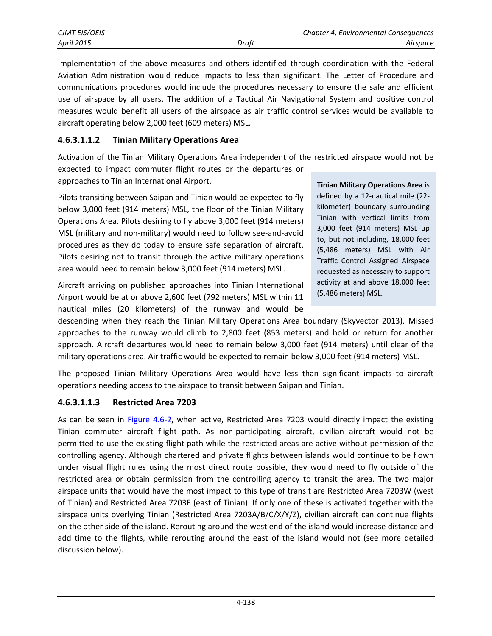| CJMT EIS/OEIS |       | <b>Chapter 4, Environmental Consequences</b> |          |
|---------------|-------|----------------------------------------------|----------|
| April 2015    | Draft |                                              | Airspace |

Implementation of the above measures and others identified through coordination with the Federal Aviation Administration would reduce impacts to less than significant. The Letter of Procedure and communications procedures would include the procedures necessary to ensure the safe and efficient use of airspace by all users. The addition of a Tactical Air Navigational System and positive control measures would benefit all users of the airspace as air traffic control services would be available to aircraft operating below 2,000 feet (609 meters) MSL.

#### **4.6.3.1.1.2 Tinian Military Operations Area**

Activation of the Tinian Military Operations Area independent of the restricted airspace would not be expected to impact commuter flight routes or the departures or approaches to Tinian International Airport.

Pilots transiting between Saipan and Tinian would be expected to fly below 3,000 feet (914 meters) MSL, the floor of the Tinian Military Operations Area. Pilots desiring to fly above 3,000 feet (914 meters) MSL (military and non-military) would need to follow see-and-avoid procedures as they do today to ensure safe separation of aircraft. Pilots desiring not to transit through the active military operations area would need to remain below 3,000 feet (914 meters) MSL.

Aircraft arriving on published approaches into Tinian International Airport would be at or above 2,600 feet (792 meters) MSL within 11 nautical miles (20 kilometers) of the runway and would be

**Tinian Military Operations Area** is defined by a 12-nautical mile (22 kilometer) boundary surrounding Tinian with vertical limits from 3,000 feet (914 meters) MSL up to, but not including, 18,000 feet (5,486 meters) MSL with Air Traffic Control Assigned Airspace requested as necessary to support activity at and above 18,000 feet (5,486 meters) MSL.

descending when they reach the Tinian Military Operations Area boundary (Skyvector 2013). Missed approaches to the runway would climb to 2,800 feet (853 meters) and hold or return for another approach. Aircraft departures would need to remain below 3,000 feet (914 meters) until clear of the military operations area. Air traffic would be expected to remain below 3,000 feet (914 meters) MSL.

The proposed Tinian Military Operations Area would have less than significant impacts to aircraft operations needing access to the airspace to transit between Saipan and Tinian.

#### **4.6.3.1.1.3 Restricted Area 7203**

As can be seen in [Figure 4.6-2,](#page-7-0) when active, Restricted Area 7203 would directly impact the existing Tinian commuter aircraft flight path. As non-participating aircraft, civilian aircraft would not be permitted to use the existing flight path while the restricted areas are active without permission of the controlling agency. Although chartered and private flights between islands would continue to be flown under visual flight rules using the most direct route possible, they would need to fly outside of the restricted area or obtain permission from the controlling agency to transit the area. The two major airspace units that would have the most impact to this type of transit are Restricted Area 7203W (west of Tinian) and Restricted Area 7203E (east of Tinian). If only one of these is activated together with the airspace units overlying Tinian (Restricted Area 7203A/B/C/X/Y/Z), civilian aircraft can continue flights on the other side of the island. Rerouting around the west end of the island would increase distance and add time to the flights, while rerouting around the east of the island would not (see more detailed discussion below).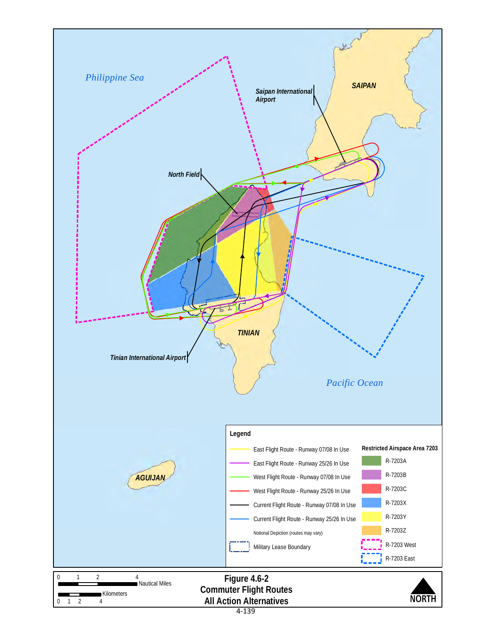<span id="page-7-0"></span>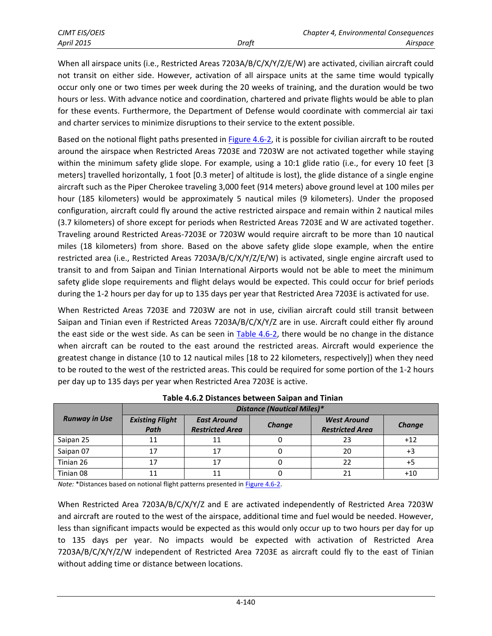| <b>CJMT EIS/OEIS</b> |       | Chapter 4, Environmental Consequences |          |
|----------------------|-------|---------------------------------------|----------|
| <b>April 2015</b>    | Draft |                                       | Airspace |

When all airspace units (i.e., Restricted Areas 7203A/B/C/X/Y/Z/E/W) are activated, civilian aircraft could not transit on either side. However, activation of all airspace units at the same time would typically occur only one or two times per week during the 20 weeks of training, and the duration would be two hours or less. With advance notice and coordination, chartered and private flights would be able to plan for these events. Furthermore, the Department of Defense would coordinate with commercial air taxi and charter services to minimize disruptions to their service to the extent possible.

Based on the notional flight paths presented in [Figure 4.6-2,](#page-7-0) it is possible for civilian aircraft to be routed around the airspace when Restricted Areas 7203E and 7203W are not activated together while staying within the minimum safety glide slope. For example, using a 10:1 glide ratio (i.e., for every 10 feet [3 meters] travelled horizontally, 1 foot [0.3 meter] of altitude is lost), the glide distance of a single engine aircraft such as the Piper Cherokee traveling 3,000 feet (914 meters) above ground level at 100 miles per hour (185 kilometers) would be approximately 5 nautical miles (9 kilometers). Under the proposed configuration, aircraft could fly around the active restricted airspace and remain within 2 nautical miles (3.7 kilometers) of shore except for periods when Restricted Areas 7203E and W are activated together. Traveling around Restricted Areas-7203E or 7203W would require aircraft to be more than 10 nautical miles (18 kilometers) from shore. Based on the above safety glide slope example, when the entire restricted area (i.e., Restricted Areas 7203A/B/C/X/Y/Z/E/W) is activated, single engine aircraft used to transit to and from Saipan and Tinian International Airports would not be able to meet the minimum safety glide slope requirements and flight delays would be expected. This could occur for brief periods during the 1-2 hours per day for up to 135 days per year that Restricted Area 7203E is activated for use.

When Restricted Areas 7203E and 7203W are not in use, civilian aircraft could still transit between Saipan and Tinian even if Restricted Areas 7203A/B/C/X/Y/Z are in use. Aircraft could either fly around the east side or the west side. As can be seen in [Table 4.6-2,](#page-8-0) there would be no change in the distance when aircraft can be routed to the east around the restricted areas. Aircraft would experience the greatest change in distance (10 to 12 nautical miles [18 to 22 kilometers, respectively]) when they need to be routed to the west of the restricted areas. This could be required for some portion of the 1-2 hours per day up to 135 days per year when Restricted Area 7203E is active.

<span id="page-8-0"></span>

|                      | <b>Distance (Nautical Miles)*</b> |                                              |        |                                              |        |
|----------------------|-----------------------------------|----------------------------------------------|--------|----------------------------------------------|--------|
| <b>Runway in Use</b> | <b>Existing Flight</b><br>Path    | <b>East Around</b><br><b>Restricted Area</b> | Change | <b>West Around</b><br><b>Restricted Area</b> | Change |
| Saipan 25            |                                   |                                              |        | 23                                           | $+12$  |
| Saipan 07            |                                   |                                              |        | 20                                           | +3     |
| Tinian 26            | 17                                |                                              |        |                                              |        |
| Tinian 08            |                                   |                                              |        |                                              | +10    |

**Table 4.6.2 Distances between Saipan and Tinian** 

*Note:* \*Distances based on notional flight patterns presented in **Figure 4.6-2**.

When Restricted Area 7203A/B/C/X/Y/Z and E are activated independently of Restricted Area 7203W and aircraft are routed to the west of the airspace, additional time and fuel would be needed. However, less than significant impacts would be expected as this would only occur up to two hours per day for up to 135 days per year. No impacts would be expected with activation of Restricted Area 7203A/B/C/X/Y/Z/W independent of Restricted Area 7203E as aircraft could fly to the east of Tinian without adding time or distance between locations.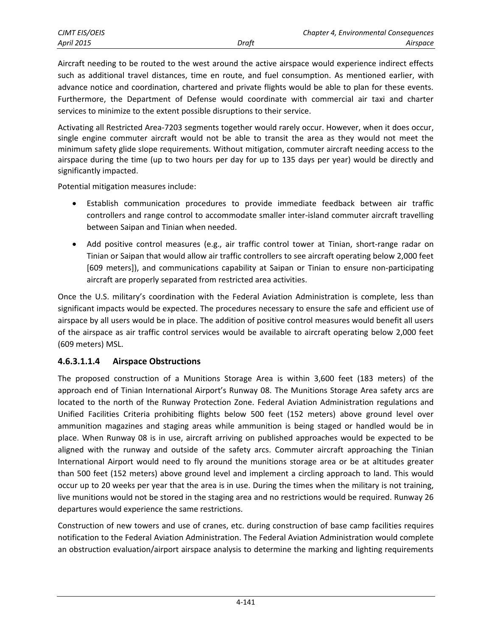| CJMT EIS/OEIS     |       | <b>Chapter 4, Environmental Consequences</b> |
|-------------------|-------|----------------------------------------------|
| <b>April 2015</b> | Draft | Airspace                                     |

Aircraft needing to be routed to the west around the active airspace would experience indirect effects such as additional travel distances, time en route, and fuel consumption. As mentioned earlier, with advance notice and coordination, chartered and private flights would be able to plan for these events. Furthermore, the Department of Defense would coordinate with commercial air taxi and charter services to minimize to the extent possible disruptions to their service.

Activating all Restricted Area-7203 segments together would rarely occur. However, when it does occur, single engine commuter aircraft would not be able to transit the area as they would not meet the minimum safety glide slope requirements. Without mitigation, commuter aircraft needing access to the airspace during the time (up to two hours per day for up to 135 days per year) would be directly and significantly impacted.

Potential mitigation measures include:

- Establish communication procedures to provide immediate feedback between air traffic controllers and range control to accommodate smaller inter-island commuter aircraft travelling between Saipan and Tinian when needed.
- Add positive control measures (e.g., air traffic control tower at Tinian, short-range radar on Tinian or Saipan that would allow air traffic controllers to see aircraft operating below 2,000 feet [609 meters]), and communications capability at Saipan or Tinian to ensure non-participating aircraft are properly separated from restricted area activities.

Once the U.S. military's coordination with the Federal Aviation Administration is complete, less than significant impacts would be expected. The procedures necessary to ensure the safe and efficient use of airspace by all users would be in place. The addition of positive control measures would benefit all users of the airspace as air traffic control services would be available to aircraft operating below 2,000 feet (609 meters) MSL.

#### **4.6.3.1.1.4 Airspace Obstructions**

The proposed construction of a Munitions Storage Area is within 3,600 feet (183 meters) of the approach end of Tinian International Airport's Runway 08. The Munitions Storage Area safety arcs are located to the north of the Runway Protection Zone. Federal Aviation Administration regulations and Unified Facilities Criteria prohibiting flights below 500 feet (152 meters) above ground level over ammunition magazines and staging areas while ammunition is being staged or handled would be in place. When Runway 08 is in use, aircraft arriving on published approaches would be expected to be aligned with the runway and outside of the safety arcs. Commuter aircraft approaching the Tinian International Airport would need to fly around the munitions storage area or be at altitudes greater than 500 feet (152 meters) above ground level and implement a circling approach to land. This would occur up to 20 weeks per year that the area is in use. During the times when the military is not training, live munitions would not be stored in the staging area and no restrictions would be required. Runway 26 departures would experience the same restrictions.

Construction of new towers and use of cranes, etc. during construction of base camp facilities requires notification to the Federal Aviation Administration. The Federal Aviation Administration would complete an obstruction evaluation/airport airspace analysis to determine the marking and lighting requirements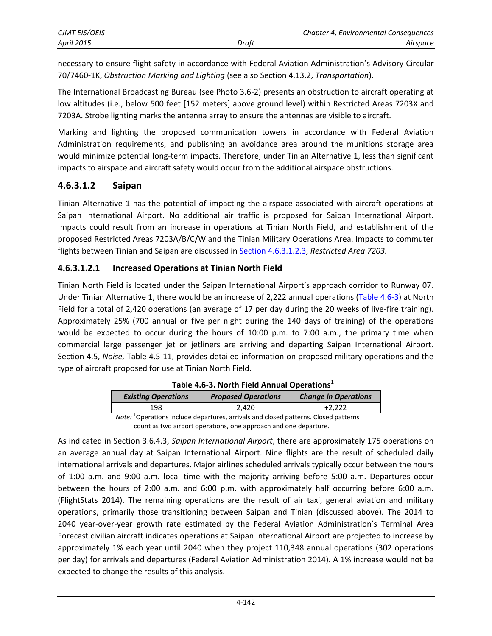necessary to ensure flight safety in accordance with Federal Aviation Administration's Advisory Circular 70/7460-1K, *Obstruction Marking and Lighting* (see also Section 4.13.2, *Transportation*).

The International Broadcasting Bureau (see Photo 3.6-2) presents an obstruction to aircraft operating at low altitudes (i.e., below 500 feet [152 meters] above ground level) within Restricted Areas 7203X and 7203A. Strobe lighting marks the antenna array to ensure the antennas are visible to aircraft.

Marking and lighting the proposed communication towers in accordance with Federal Aviation Administration requirements, and publishing an avoidance area around the munitions storage area would minimize potential long-term impacts. Therefore, under Tinian Alternative 1, less than significant impacts to airspace and aircraft safety would occur from the additional airspace obstructions.

#### **4.6.3.1.2 Saipan**

Tinian Alternative 1 has the potential of impacting the airspace associated with aircraft operations at Saipan International Airport. No additional air traffic is proposed for Saipan International Airport. Impacts could result from an increase in operations at Tinian North Field, and establishment of the proposed Restricted Areas 7203A/B/C/W and the Tinian Military Operations Area. Impacts to commuter flights between Tinian and Saipan are discussed in [Section 4.6.3.1.2.3,](#page-11-0) *Restricted Area 7203.*

#### **4.6.3.1.2.1 Increased Operations at Tinian North Field**

Tinian North Field is located under the Saipan International Airport's approach corridor to Runway 07. Under Tinian Alternative 1, there would be an increase of 2,222 annual operations [\(Table 4.6-3\)](#page-10-0) at North Field for a total of 2,420 operations (an average of 17 per day during the 20 weeks of live-fire training). Approximately 25% (700 annual or five per night during the 140 days of training) of the operations would be expected to occur during the hours of 10:00 p.m. to 7:00 a.m., the primary time when commercial large passenger jet or jetliners are arriving and departing Saipan International Airport. Section 4.5, *Noise,* Table 4.5-11, provides detailed information on proposed military operations and the type of aircraft proposed for use at Tinian North Field.

| <b>Existing Operations</b> | <b>Proposed Operations</b> | <b>Change in Operations</b> |  |
|----------------------------|----------------------------|-----------------------------|--|
| 198                        | 2.420                      | $+2.222$                    |  |

|  |  |  |  | Table 4.6-3. North Field Annual Operations <sup>1</sup> |
|--|--|--|--|---------------------------------------------------------|
|--|--|--|--|---------------------------------------------------------|

Note: <sup>1</sup>Operations include departures, arrivals and closed patterns. Closed patterns count as two airport operations, one approach and one departure.

<span id="page-10-0"></span>As indicated in Section 3.6.4.3, *Saipan International Airport*, there are approximately 175 operations on an average annual day at Saipan International Airport. Nine flights are the result of scheduled daily international arrivals and departures. Major airlines scheduled arrivals typically occur between the hours of 1:00 a.m. and 9:00 a.m. local time with the majority arriving before 5:00 a.m. Departures occur between the hours of 2:00 a.m. and 6:00 p.m. with approximately half occurring before 6:00 a.m. (FlightStats 2014). The remaining operations are the result of air taxi, general aviation and military operations, primarily those transitioning between Saipan and Tinian (discussed above). The 2014 to 2040 year-over-year growth rate estimated by the Federal Aviation Administration's Terminal Area Forecast civilian aircraft indicates operations at Saipan International Airport are projected to increase by approximately 1% each year until 2040 when they project 110,348 annual operations (302 operations per day) for arrivals and departures (Federal Aviation Administration 2014). A 1% increase would not be expected to change the results of this analysis.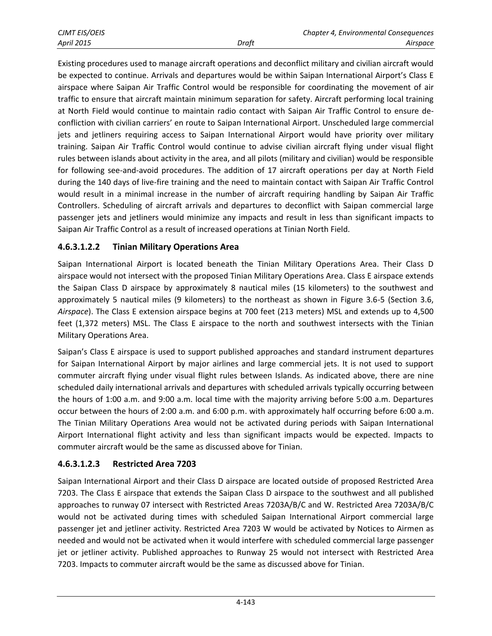Existing procedures used to manage aircraft operations and deconflict military and civilian aircraft would be expected to continue. Arrivals and departures would be within Saipan International Airport's Class E airspace where Saipan Air Traffic Control would be responsible for coordinating the movement of air traffic to ensure that aircraft maintain minimum separation for safety. Aircraft performing local training at North Field would continue to maintain radio contact with Saipan Air Traffic Control to ensure deconfliction with civilian carriers' en route to Saipan International Airport. Unscheduled large commercial jets and jetliners requiring access to Saipan International Airport would have priority over military training. Saipan Air Traffic Control would continue to advise civilian aircraft flying under visual flight rules between islands about activity in the area, and all pilots (military and civilian) would be responsible for following see-and-avoid procedures. The addition of 17 aircraft operations per day at North Field during the 140 days of live-fire training and the need to maintain contact with Saipan Air Traffic Control would result in a minimal increase in the number of aircraft requiring handling by Saipan Air Traffic Controllers. Scheduling of aircraft arrivals and departures to deconflict with Saipan commercial large passenger jets and jetliners would minimize any impacts and result in less than significant impacts to Saipan Air Traffic Control as a result of increased operations at Tinian North Field.

#### **4.6.3.1.2.2 Tinian Military Operations Area**

Saipan International Airport is located beneath the Tinian Military Operations Area. Their Class D airspace would not intersect with the proposed Tinian Military Operations Area. Class E airspace extends the Saipan Class D airspace by approximately 8 nautical miles (15 kilometers) to the southwest and approximately 5 nautical miles (9 kilometers) to the northeast as shown in Figure 3.6-5 (Section 3.6, *Airspace*). The Class E extension airspace begins at 700 feet (213 meters) MSL and extends up to 4,500 feet (1,372 meters) MSL. The Class E airspace to the north and southwest intersects with the Tinian Military Operations Area.

Saipan's Class E airspace is used to support published approaches and standard instrument departures for Saipan International Airport by major airlines and large commercial jets. It is not used to support commuter aircraft flying under visual flight rules between Islands. As indicated above, there are nine scheduled daily international arrivals and departures with scheduled arrivals typically occurring between the hours of 1:00 a.m. and 9:00 a.m. local time with the majority arriving before 5:00 a.m. Departures occur between the hours of 2:00 a.m. and 6:00 p.m. with approximately half occurring before 6:00 a.m. The Tinian Military Operations Area would not be activated during periods with Saipan International Airport International flight activity and less than significant impacts would be expected. Impacts to commuter aircraft would be the same as discussed above for Tinian.

#### <span id="page-11-0"></span>**4.6.3.1.2.3 Restricted Area 7203**

Saipan International Airport and their Class D airspace are located outside of proposed Restricted Area 7203. The Class E airspace that extends the Saipan Class D airspace to the southwest and all published approaches to runway 07 intersect with Restricted Areas 7203A/B/C and W. Restricted Area 7203A/B/C would not be activated during times with scheduled Saipan International Airport commercial large passenger jet and jetliner activity. Restricted Area 7203 W would be activated by Notices to Airmen as needed and would not be activated when it would interfere with scheduled commercial large passenger jet or jetliner activity. Published approaches to Runway 25 would not intersect with Restricted Area 7203. Impacts to commuter aircraft would be the same as discussed above for Tinian.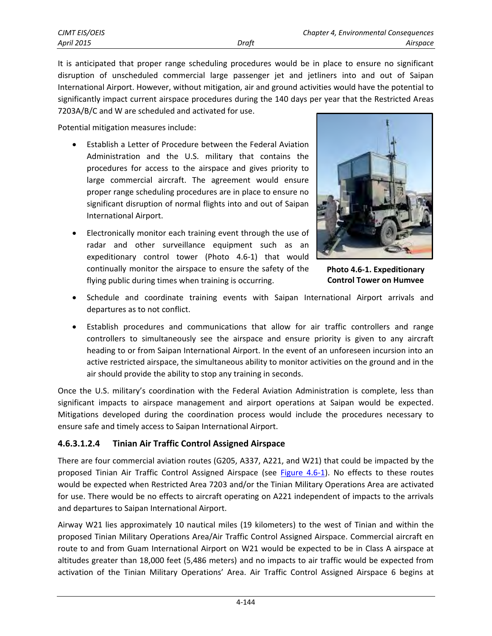It is anticipated that proper range scheduling procedures would be in place to ensure no significant disruption of unscheduled commercial large passenger jet and jetliners into and out of Saipan International Airport. However, without mitigation, air and ground activities would have the potential to significantly impact current airspace procedures during the 140 days per year that the Restricted Areas 7203A/B/C and W are scheduled and activated for use.

Potential mitigation measures include:

- Establish a Letter of Procedure between the Federal Aviation Administration and the U.S. military that contains the procedures for access to the airspace and gives priority to large commercial aircraft. The agreement would ensure proper range scheduling procedures are in place to ensure no significant disruption of normal flights into and out of Saipan International Airport.
- Electronically monitor each training event through the use of radar and other surveillance equipment such as an expeditionary control tower (Photo 4.6-1) that would continually monitor the airspace to ensure the safety of the flying public during times when training is occurring.



**Photo 4.6-1. Expeditionary Control Tower on Humvee**

- Schedule and coordinate training events with Saipan International Airport arrivals and departures as to not conflict.
- Establish procedures and communications that allow for air traffic controllers and range controllers to simultaneously see the airspace and ensure priority is given to any aircraft heading to or from Saipan International Airport. In the event of an unforeseen incursion into an active restricted airspace, the simultaneous ability to monitor activities on the ground and in the air should provide the ability to stop any training in seconds.

Once the U.S. military's coordination with the Federal Aviation Administration is complete, less than significant impacts to airspace management and airport operations at Saipan would be expected. Mitigations developed during the coordination process would include the procedures necessary to ensure safe and timely access to Saipan International Airport.

### **4.6.3.1.2.4 Tinian Air Traffic Control Assigned Airspace**

There are four commercial aviation routes (G205, A337, A221, and W21) that could be impacted by the proposed Tinian Air Traffic Control Assigned Airspace (see [Figure 4.6-1\)](#page-1-0). No effects to these routes would be expected when Restricted Area 7203 and/or the Tinian Military Operations Area are activated for use. There would be no effects to aircraft operating on A221 independent of impacts to the arrivals and departures to Saipan International Airport.

Airway W21 lies approximately 10 nautical miles (19 kilometers) to the west of Tinian and within the proposed Tinian Military Operations Area/Air Traffic Control Assigned Airspace. Commercial aircraft en route to and from Guam International Airport on W21 would be expected to be in Class A airspace at altitudes greater than 18,000 feet (5,486 meters) and no impacts to air traffic would be expected from activation of the Tinian Military Operations' Area. Air Traffic Control Assigned Airspace 6 begins at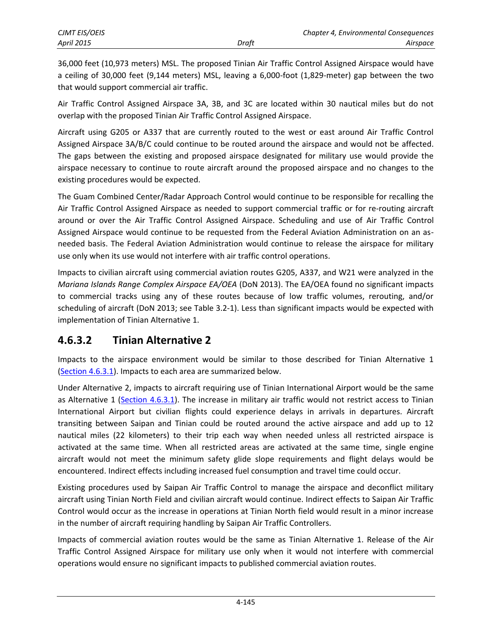36,000 feet (10,973 meters) MSL. The proposed Tinian Air Traffic Control Assigned Airspace would have a ceiling of 30,000 feet (9,144 meters) MSL, leaving a 6,000-foot (1,829-meter) gap between the two that would support commercial air traffic.

Air Traffic Control Assigned Airspace 3A, 3B, and 3C are located within 30 nautical miles but do not overlap with the proposed Tinian Air Traffic Control Assigned Airspace.

Aircraft using G205 or A337 that are currently routed to the west or east around Air Traffic Control Assigned Airspace 3A/B/C could continue to be routed around the airspace and would not be affected. The gaps between the existing and proposed airspace designated for military use would provide the airspace necessary to continue to route aircraft around the proposed airspace and no changes to the existing procedures would be expected.

The Guam Combined Center/Radar Approach Control would continue to be responsible for recalling the Air Traffic Control Assigned Airspace as needed to support commercial traffic or for re-routing aircraft around or over the Air Traffic Control Assigned Airspace. Scheduling and use of Air Traffic Control Assigned Airspace would continue to be requested from the Federal Aviation Administration on an asneeded basis. The Federal Aviation Administration would continue to release the airspace for military use only when its use would not interfere with air traffic control operations.

Impacts to civilian aircraft using commercial aviation routes G205, A337, and W21 were analyzed in the *Mariana Islands Range Complex Airspace EA/OEA* (DoN 2013). The EA/OEA found no significant impacts to commercial tracks using any of these routes because of low traffic volumes, rerouting, and/or scheduling of aircraft (DoN 2013; see Table 3.2-1). Less than significant impacts would be expected with implementation of Tinian Alternative 1.

## **4.6.3.2 Tinian Alternative 2**

Impacts to the airspace environment would be similar to those described for Tinian Alternative 1 [\(Section 4.6.3.1](#page-4-0)). Impacts to each area are summarized below.

Under Alternative 2, impacts to aircraft requiring use of Tinian International Airport would be the same as Alternative 1 [\(Section 4.6.3.1\)](#page-4-0). The increase in military air traffic would not restrict access to Tinian International Airport but civilian flights could experience delays in arrivals in departures. Aircraft transiting between Saipan and Tinian could be routed around the active airspace and add up to 12 nautical miles (22 kilometers) to their trip each way when needed unless all restricted airspace is activated at the same time. When all restricted areas are activated at the same time, single engine aircraft would not meet the minimum safety glide slope requirements and flight delays would be encountered. Indirect effects including increased fuel consumption and travel time could occur.

Existing procedures used by Saipan Air Traffic Control to manage the airspace and deconflict military aircraft using Tinian North Field and civilian aircraft would continue. Indirect effects to Saipan Air Traffic Control would occur as the increase in operations at Tinian North field would result in a minor increase in the number of aircraft requiring handling by Saipan Air Traffic Controllers.

Impacts of commercial aviation routes would be the same as Tinian Alternative 1. Release of the Air Traffic Control Assigned Airspace for military use only when it would not interfere with commercial operations would ensure no significant impacts to published commercial aviation routes.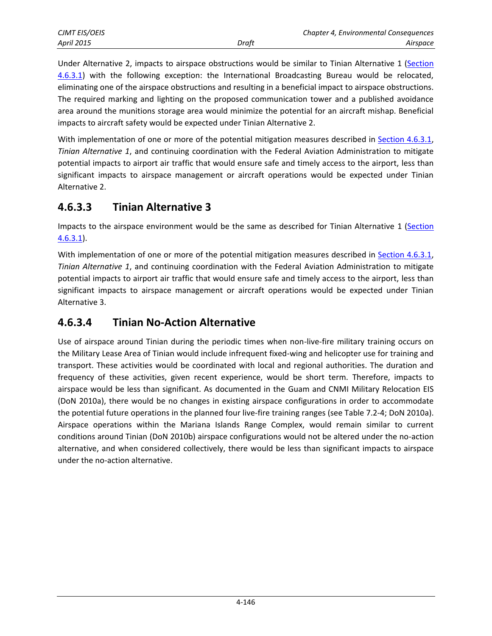Under Alternative 2, impacts to airspace obstructions would be similar to Tinian Alternative 1 ([Section](#page-4-0)  [4.6.3.1\)](#page-4-0) with the following exception: the International Broadcasting Bureau would be relocated, eliminating one of the airspace obstructions and resulting in a beneficial impact to airspace obstructions. The required marking and lighting on the proposed communication tower and a published avoidance area around the munitions storage area would minimize the potential for an aircraft mishap. Beneficial impacts to aircraft safety would be expected under Tinian Alternative 2.

With implementation of one or more of the potential mitigation measures described in [Section 4.6.3.1,](#page-4-0) *Tinian Alternative 1*, and continuing coordination with the Federal Aviation Administration to mitigate potential impacts to airport air traffic that would ensure safe and timely access to the airport, less than significant impacts to airspace management or aircraft operations would be expected under Tinian Alternative 2.

# **4.6.3.3 Tinian Alternative 3**

Impacts to the airspace environment would be the same as described for Tinian Alternative 1 [\(Section](#page-4-0)  [4.6.3.1\)](#page-4-0).

With implementation of one or more of the potential mitigation measures described in [Section 4.6.3.1,](#page-4-0) *Tinian Alternative 1*, and continuing coordination with the Federal Aviation Administration to mitigate potential impacts to airport air traffic that would ensure safe and timely access to the airport, less than significant impacts to airspace management or aircraft operations would be expected under Tinian Alternative 3.

# **4.6.3.4 Tinian No-Action Alternative**

Use of airspace around Tinian during the periodic times when non-live-fire military training occurs on the Military Lease Area of Tinian would include infrequent fixed-wing and helicopter use for training and transport. These activities would be coordinated with local and regional authorities. The duration and frequency of these activities, given recent experience, would be short term. Therefore, impacts to airspace would be less than significant. As documented in the Guam and CNMI Military Relocation EIS (DoN 2010a), there would be no changes in existing airspace configurations in order to accommodate the potential future operations in the planned four live-fire training ranges (see Table 7.2-4; DoN 2010a). Airspace operations within the Mariana Islands Range Complex, would remain similar to current conditions around Tinian (DoN 2010b) airspace configurations would not be altered under the no-action alternative, and when considered collectively, there would be less than significant impacts to airspace under the no-action alternative.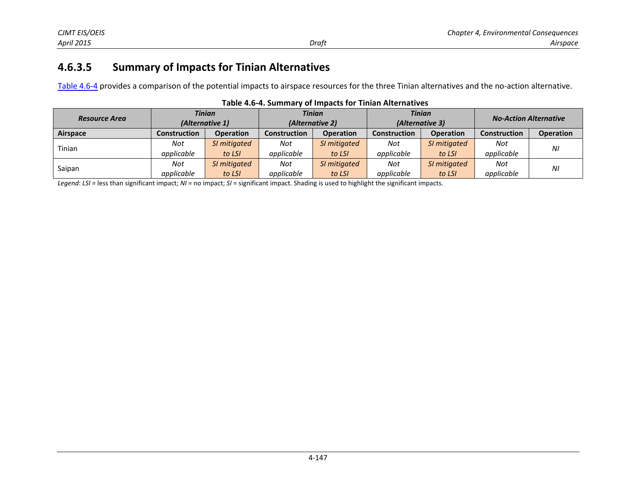# **4.6.3.5 Summary of Impacts for Tinian Alternatives**

[Table 4.6-4](#page-15-0) provides a comparison of the potential impacts to airspace resources for the three Tinian alternatives and the no-action alternative.

<span id="page-15-0"></span>

| <b>Resource Area</b> | <b>Tinian</b><br>(Alternative 1) |                  | <b>Tinian</b><br>(Alternative 2) |                  | <b>Tinian</b><br>(Alternative 3) |                  | <b>No-Action Alternative</b> |                  |
|----------------------|----------------------------------|------------------|----------------------------------|------------------|----------------------------------|------------------|------------------------------|------------------|
| Airspace             | <b>Construction</b>              | <b>Operation</b> | Construction                     | <b>Operation</b> | <b>Construction</b>              | <b>Operation</b> | <b>Construction</b>          | <b>Operation</b> |
| Tinian               | Not                              | SI mitigated     | Not                              | SI mitigated     | Not                              | SI mitigated     | Not                          | ΝI               |
|                      | applicable                       | to LSI           | applicable                       | to LSI           | applicable                       | to LSI           | applicable                   |                  |
| Saipan               | Not                              | SI mitigated     | Not                              | SI mitigated     | Not                              | SI mitigated     | Not                          | ΝI               |
|                      | applicable                       | to LSI           | applicable                       | to LSI           | applicable                       | to LSI           | applicable                   |                  |

|  |  |  |  | Table 4.6-4. Summary of Impacts for Tinian Alternatives |
|--|--|--|--|---------------------------------------------------------|
|--|--|--|--|---------------------------------------------------------|

*Legend*: *LSI* = less than significant impact; *NI* = no impact; *SI* = significant impact. Shading is used to highlight the significant impacts.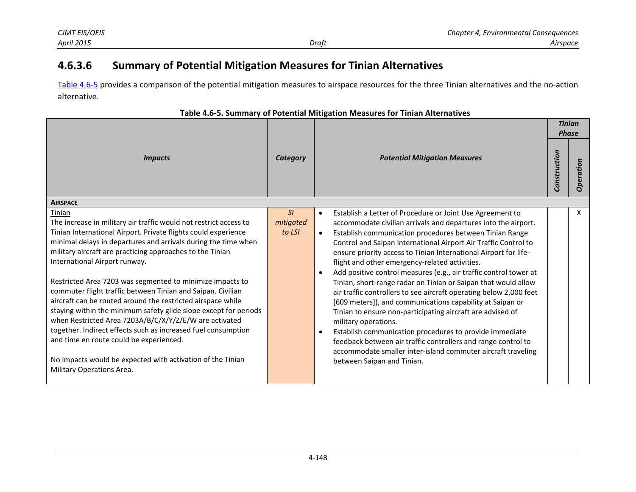#### **4.6.3.6Summary of Potential Mitigation Measures for Tinian Alternatives**

Table 4.6-5 provides a comparison of the potential mitigation measures to airspace resources for the three Tinian alternatives and the no-action alternative.

|                                                                                                                                                                                                                                                                                                                                                                                                                                                                                                                                                                                                                                                                                                                                                                                                                                               |                           |                                                                                                                                                                                                                                                                                                                                                                                                                                                                                                                                                                                                                                                                                                                                                                                                                                                                                                                                                                                                                  |              | <b>Tinian</b><br><b>Phase</b> |
|-----------------------------------------------------------------------------------------------------------------------------------------------------------------------------------------------------------------------------------------------------------------------------------------------------------------------------------------------------------------------------------------------------------------------------------------------------------------------------------------------------------------------------------------------------------------------------------------------------------------------------------------------------------------------------------------------------------------------------------------------------------------------------------------------------------------------------------------------|---------------------------|------------------------------------------------------------------------------------------------------------------------------------------------------------------------------------------------------------------------------------------------------------------------------------------------------------------------------------------------------------------------------------------------------------------------------------------------------------------------------------------------------------------------------------------------------------------------------------------------------------------------------------------------------------------------------------------------------------------------------------------------------------------------------------------------------------------------------------------------------------------------------------------------------------------------------------------------------------------------------------------------------------------|--------------|-------------------------------|
| <b>Impacts</b>                                                                                                                                                                                                                                                                                                                                                                                                                                                                                                                                                                                                                                                                                                                                                                                                                                | Category                  | <b>Potential Mitigation Measures</b>                                                                                                                                                                                                                                                                                                                                                                                                                                                                                                                                                                                                                                                                                                                                                                                                                                                                                                                                                                             | Construction | ration                        |
| <b>AIRSPACE</b>                                                                                                                                                                                                                                                                                                                                                                                                                                                                                                                                                                                                                                                                                                                                                                                                                               |                           |                                                                                                                                                                                                                                                                                                                                                                                                                                                                                                                                                                                                                                                                                                                                                                                                                                                                                                                                                                                                                  |              |                               |
| Tinian<br>The increase in military air traffic would not restrict access to<br>Tinian International Airport. Private flights could experience<br>minimal delays in departures and arrivals during the time when<br>military aircraft are practicing approaches to the Tinian<br>International Airport runway.<br>Restricted Area 7203 was segmented to minimize impacts to<br>commuter flight traffic between Tinian and Saipan. Civilian<br>aircraft can be routed around the restricted airspace while<br>staying within the minimum safety glide slope except for periods<br>when Restricted Area 7203A/B/C/X/Y/Z/E/W are activated<br>together. Indirect effects such as increased fuel consumption<br>and time en route could be experienced.<br>No impacts would be expected with activation of the Tinian<br>Military Operations Area. | SI<br>mitigated<br>to LSI | Establish a Letter of Procedure or Joint Use Agreement to<br>$\bullet$<br>accommodate civilian arrivals and departures into the airport.<br>Establish communication procedures between Tinian Range<br>$\bullet$<br>Control and Saipan International Airport Air Traffic Control to<br>ensure priority access to Tinian International Airport for life-<br>flight and other emergency-related activities.<br>Add positive control measures (e.g., air traffic control tower at<br>$\bullet$<br>Tinian, short-range radar on Tinian or Saipan that would allow<br>air traffic controllers to see aircraft operating below 2,000 feet<br>[609 meters]), and communications capability at Saipan or<br>Tinian to ensure non-participating aircraft are advised of<br>military operations.<br>Establish communication procedures to provide immediate<br>feedback between air traffic controllers and range control to<br>accommodate smaller inter-island commuter aircraft traveling<br>between Saipan and Tinian. |              | X                             |

**Table 4.6‐5. Summary of Potential Mitigation Measures for Tinian Alternatives**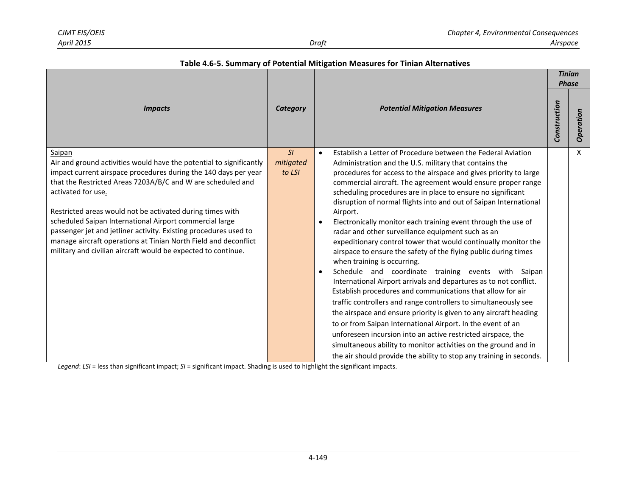Г

|  | Table 4.6-5. Summary of Potential Mitigation Measures for Tinian Alternatives |
|--|-------------------------------------------------------------------------------|
|  |                                                                               |

|                                                                                                                                                                                                                                                                                                                                                                                                                                                                                                                                                                       |                           |                                                                                                                                                                                                                                                                                                                                                                                                                                                                                                                                                                                                                                                                                                                                                                                                                                                                                                                                                                                                                                                                                                                                                                                                                                                                                                                                            |              | <b>Tinian</b><br><b>Phase</b> |  |
|-----------------------------------------------------------------------------------------------------------------------------------------------------------------------------------------------------------------------------------------------------------------------------------------------------------------------------------------------------------------------------------------------------------------------------------------------------------------------------------------------------------------------------------------------------------------------|---------------------------|--------------------------------------------------------------------------------------------------------------------------------------------------------------------------------------------------------------------------------------------------------------------------------------------------------------------------------------------------------------------------------------------------------------------------------------------------------------------------------------------------------------------------------------------------------------------------------------------------------------------------------------------------------------------------------------------------------------------------------------------------------------------------------------------------------------------------------------------------------------------------------------------------------------------------------------------------------------------------------------------------------------------------------------------------------------------------------------------------------------------------------------------------------------------------------------------------------------------------------------------------------------------------------------------------------------------------------------------|--------------|-------------------------------|--|
| <b>Impacts</b>                                                                                                                                                                                                                                                                                                                                                                                                                                                                                                                                                        | Category                  | <b>Potential Mitigation Measures</b>                                                                                                                                                                                                                                                                                                                                                                                                                                                                                                                                                                                                                                                                                                                                                                                                                                                                                                                                                                                                                                                                                                                                                                                                                                                                                                       | Construction | Operation                     |  |
| Saipan<br>Air and ground activities would have the potential to significantly<br>impact current airspace procedures during the 140 days per year<br>that the Restricted Areas 7203A/B/C and W are scheduled and<br>activated for use.<br>Restricted areas would not be activated during times with<br>scheduled Saipan International Airport commercial large<br>passenger jet and jetliner activity. Existing procedures used to<br>manage aircraft operations at Tinian North Field and deconflict<br>military and civilian aircraft would be expected to continue. | SI<br>mitigated<br>to LSI | Establish a Letter of Procedure between the Federal Aviation<br>$\bullet$<br>Administration and the U.S. military that contains the<br>procedures for access to the airspace and gives priority to large<br>commercial aircraft. The agreement would ensure proper range<br>scheduling procedures are in place to ensure no significant<br>disruption of normal flights into and out of Saipan International<br>Airport.<br>Electronically monitor each training event through the use of<br>radar and other surveillance equipment such as an<br>expeditionary control tower that would continually monitor the<br>airspace to ensure the safety of the flying public during times<br>when training is occurring.<br>Schedule and coordinate training events with Saipan<br>$\bullet$<br>International Airport arrivals and departures as to not conflict.<br>Establish procedures and communications that allow for air<br>traffic controllers and range controllers to simultaneously see<br>the airspace and ensure priority is given to any aircraft heading<br>to or from Saipan International Airport. In the event of an<br>unforeseen incursion into an active restricted airspace, the<br>simultaneous ability to monitor activities on the ground and in<br>the air should provide the ability to stop any training in seconds. |              | X                             |  |

*Legend*: *LSI* = less than significant impact; *SI* = significant impact. Shading is used to highlight the significant impacts.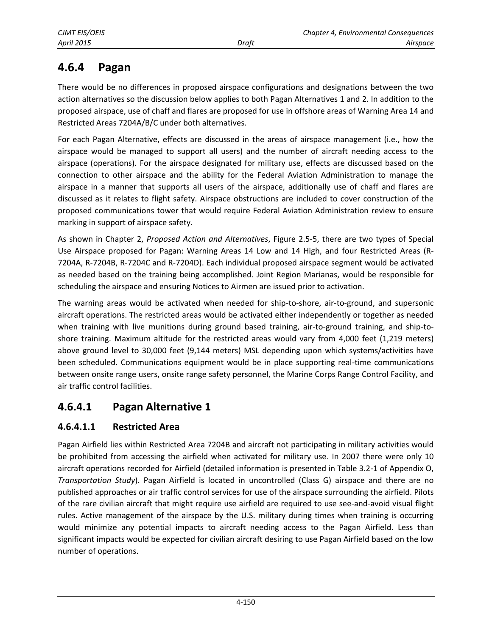# <span id="page-18-0"></span>**4.6.4 Pagan**

There would be no differences in proposed airspace configurations and designations between the two action alternatives so the discussion below applies to both Pagan Alternatives 1 and 2. In addition to the proposed airspace, use of chaff and flares are proposed for use in offshore areas of Warning Area 14 and Restricted Areas 7204A/B/C under both alternatives.

For each Pagan Alternative, effects are discussed in the areas of airspace management (i.e., how the airspace would be managed to support all users) and the number of aircraft needing access to the airspace (operations). For the airspace designated for military use, effects are discussed based on the connection to other airspace and the ability for the Federal Aviation Administration to manage the airspace in a manner that supports all users of the airspace, additionally use of chaff and flares are discussed as it relates to flight safety. Airspace obstructions are included to cover construction of the proposed communications tower that would require Federal Aviation Administration review to ensure marking in support of airspace safety.

As shown in Chapter 2, *Proposed Action and Alternatives*, Figure 2.5-5, there are two types of Special Use Airspace proposed for Pagan: Warning Areas 14 Low and 14 High, and four Restricted Areas (R-7204A, R-7204B, R-7204C and R-7204D). Each individual proposed airspace segment would be activated as needed based on the training being accomplished. Joint Region Marianas, would be responsible for scheduling the airspace and ensuring Notices to Airmen are issued prior to activation.

The warning areas would be activated when needed for ship-to-shore, air-to-ground, and supersonic aircraft operations. The restricted areas would be activated either independently or together as needed when training with live munitions during ground based training, air-to-ground training, and ship-toshore training. Maximum altitude for the restricted areas would vary from 4,000 feet (1,219 meters) above ground level to 30,000 feet (9,144 meters) MSL depending upon which systems/activities have been scheduled. Communications equipment would be in place supporting real-time communications between onsite range users, onsite range safety personnel, the Marine Corps Range Control Facility, and air traffic control facilities.

# **4.6.4.1 Pagan Alternative 1**

### **4.6.4.1.1 Restricted Area**

Pagan Airfield lies within Restricted Area 7204B and aircraft not participating in military activities would be prohibited from accessing the airfield when activated for military use. In 2007 there were only 10 aircraft operations recorded for Airfield (detailed information is presented in Table 3.2-1 of Appendix O, *Transportation Study*). Pagan Airfield is located in uncontrolled (Class G) airspace and there are no published approaches or air traffic control services for use of the airspace surrounding the airfield. Pilots of the rare civilian aircraft that might require use airfield are required to use see-and-avoid visual flight rules. Active management of the airspace by the U.S. military during times when training is occurring would minimize any potential impacts to aircraft needing access to the Pagan Airfield. Less than significant impacts would be expected for civilian aircraft desiring to use Pagan Airfield based on the low number of operations.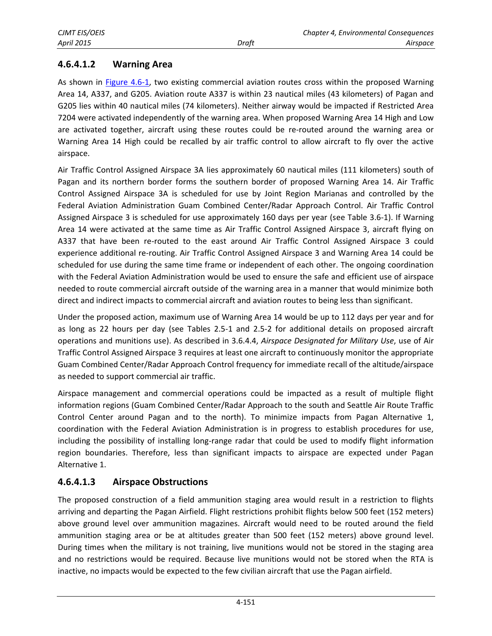### **4.6.4.1.2 Warning Area**

As shown in [Figure 4.6-1,](#page-1-0) two existing commercial aviation routes cross within the proposed Warning Area 14, A337, and G205. Aviation route A337 is within 23 nautical miles (43 kilometers) of Pagan and G205 lies within 40 nautical miles (74 kilometers). Neither airway would be impacted if Restricted Area 7204 were activated independently of the warning area. When proposed Warning Area 14 High and Low are activated together, aircraft using these routes could be re-routed around the warning area or Warning Area 14 High could be recalled by air traffic control to allow aircraft to fly over the active airspace.

Air Traffic Control Assigned Airspace 3A lies approximately 60 nautical miles (111 kilometers) south of Pagan and its northern border forms the southern border of proposed Warning Area 14. Air Traffic Control Assigned Airspace 3A is scheduled for use by Joint Region Marianas and controlled by the Federal Aviation Administration Guam Combined Center/Radar Approach Control. Air Traffic Control Assigned Airspace 3 is scheduled for use approximately 160 days per year (see Table 3.6-1). If Warning Area 14 were activated at the same time as Air Traffic Control Assigned Airspace 3, aircraft flying on A337 that have been re-routed to the east around Air Traffic Control Assigned Airspace 3 could experience additional re-routing. Air Traffic Control Assigned Airspace 3 and Warning Area 14 could be scheduled for use during the same time frame or independent of each other. The ongoing coordination with the Federal Aviation Administration would be used to ensure the safe and efficient use of airspace needed to route commercial aircraft outside of the warning area in a manner that would minimize both direct and indirect impacts to commercial aircraft and aviation routes to being less than significant.

Under the proposed action, maximum use of Warning Area 14 would be up to 112 days per year and for as long as 22 hours per day (see Tables 2.5-1 and 2.5-2 for additional details on proposed aircraft operations and munitions use). As described in 3.6.4.4, *Airspace Designated for Military Use*, use of Air Traffic Control Assigned Airspace 3 requires at least one aircraft to continuously monitor the appropriate Guam Combined Center/Radar Approach Control frequency for immediate recall of the altitude/airspace as needed to support commercial air traffic.

Airspace management and commercial operations could be impacted as a result of multiple flight information regions (Guam Combined Center/Radar Approach to the south and Seattle Air Route Traffic Control Center around Pagan and to the north). To minimize impacts from Pagan Alternative 1, coordination with the Federal Aviation Administration is in progress to establish procedures for use, including the possibility of installing long-range radar that could be used to modify flight information region boundaries. Therefore, less than significant impacts to airspace are expected under Pagan Alternative 1.

### **4.6.4.1.3 Airspace Obstructions**

The proposed construction of a field ammunition staging area would result in a restriction to flights arriving and departing the Pagan Airfield. Flight restrictions prohibit flights below 500 feet (152 meters) above ground level over ammunition magazines. Aircraft would need to be routed around the field ammunition staging area or be at altitudes greater than 500 feet (152 meters) above ground level. During times when the military is not training, live munitions would not be stored in the staging area and no restrictions would be required. Because live munitions would not be stored when the RTA is inactive, no impacts would be expected to the few civilian aircraft that use the Pagan airfield.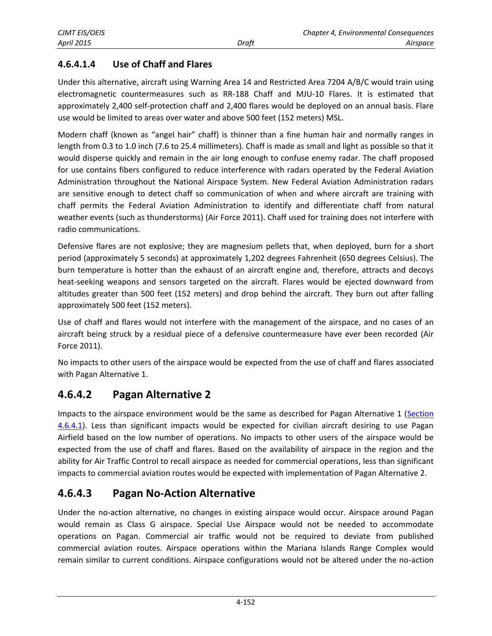### **4.6.4.1.4 Use of Chaff and Flares**

Under this alternative, aircraft using Warning Area 14 and Restricted Area 7204 A/B/C would train using electromagnetic countermeasures such as RR-188 Chaff and MJU-10 Flares. It is estimated that approximately 2,400 self-protection chaff and 2,400 flares would be deployed on an annual basis. Flare use would be limited to areas over water and above 500 feet (152 meters) MSL.

Modern chaff (known as "angel hair" chaff) is thinner than a fine human hair and normally ranges in length from 0.3 to 1.0 inch (7.6 to 25.4 millimeters). Chaff is made as small and light as possible so that it would disperse quickly and remain in the air long enough to confuse enemy radar. The chaff proposed for use contains fibers configured to reduce interference with radars operated by the Federal Aviation Administration throughout the National Airspace System. New Federal Aviation Administration radars are sensitive enough to detect chaff so communication of when and where aircraft are training with chaff permits the Federal Aviation Administration to identify and differentiate chaff from natural weather events (such as thunderstorms) (Air Force 2011). Chaff used for training does not interfere with radio communications.

Defensive flares are not explosive; they are magnesium pellets that, when deployed, burn for a short period (approximately 5 seconds) at approximately 1,202 degrees Fahrenheit (650 degrees Celsius). The burn temperature is hotter than the exhaust of an aircraft engine and, therefore, attracts and decoys heat-seeking weapons and sensors targeted on the aircraft. Flares would be ejected downward from altitudes greater than 500 feet (152 meters) and drop behind the aircraft. They burn out after falling approximately 500 feet (152 meters).

Use of chaff and flares would not interfere with the management of the airspace, and no cases of an aircraft being struck by a residual piece of a defensive countermeasure have ever been recorded (Air Force 2011).

No impacts to other users of the airspace would be expected from the use of chaff and flares associated with Pagan Alternative 1.

## **4.6.4.2 Pagan Alternative 2**

Impacts to the airspace environment would be the same as described for Pagan Alternative 1 (Section [4.6.4.1\)](#page-18-0). Less than significant impacts would be expected for civilian aircraft desiring to use Pagan Airfield based on the low number of operations. No impacts to other users of the airspace would be expected from the use of chaff and flares. Based on the availability of airspace in the region and the ability for Air Traffic Control to recall airspace as needed for commercial operations, less than significant impacts to commercial aviation routes would be expected with implementation of Pagan Alternative 2.

## **4.6.4.3 Pagan No-Action Alternative**

Under the no-action alternative, no changes in existing airspace would occur. Airspace around Pagan would remain as Class G airspace. Special Use Airspace would not be needed to accommodate operations on Pagan. Commercial air traffic would not be required to deviate from published commercial aviation routes. Airspace operations within the Mariana Islands Range Complex would remain similar to current conditions. Airspace configurations would not be altered under the no-action